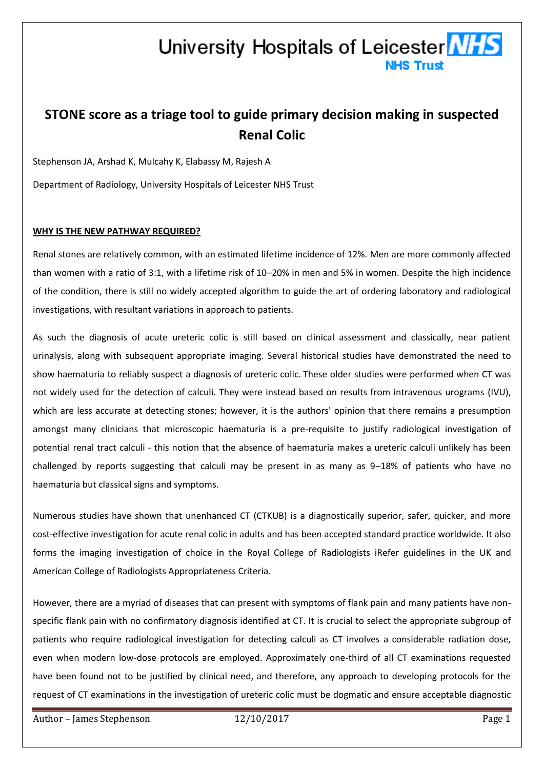## University Hospitals of Leicester **NHS NHS Trust**

# **STONE score as a triage tool to guide primary decision making in suspected Renal Colic**

Stephenson JA, Arshad K, Mulcahy K, Elabassy M, Rajesh A

Department of Radiology, University Hospitals of Leicester NHS Trust

### **WHY IS THE NEW PATHWAY REQUIRED?**

Renal stones are relatively common, with an estimated lifetime incidence of 12%. Men are more commonly affected than women with a ratio of 3:1, with a lifetime risk of 10–20% in men and 5% in women. Despite the high incidence of the condition, there is still no widely accepted algorithm to guide the art of ordering laboratory and radiological investigations, with resultant variations in approach to patients.

As such the diagnosis of acute ureteric colic is still based on clinical assessment and classically, near patient urinalysis, along with subsequent appropriate imaging. Several historical studies have demonstrated the need to show haematuria to reliably suspect a diagnosis of ureteric colic. These older studies were performed when CT was not widely used for the detection of calculi. They were instead based on results from intravenous urograms (IVU), which are less accurate at detecting stones; however, it is the authors' opinion that there remains a presumption amongst many clinicians that microscopic haematuria is a pre-requisite to justify radiological investigation of potential renal tract calculi - this notion that the absence of haematuria makes a ureteric calculi unlikely has been challenged by reports suggesting that calculi may be present in as many as 9–18% of patients who have no haematuria but classical signs and symptoms.

Numerous studies have shown that unenhanced CT (CTKUB) is a diagnostically superior, safer, quicker, and more cost-effective investigation for acute renal colic in adults and has been accepted standard practice worldwide. It also forms the imaging investigation of choice in the Royal College of Radiologists iRefer guidelines in the UK and American College of Radiologists Appropriateness Criteria.

However, there are a myriad of diseases that can present with symptoms of flank pain and many patients have nonspecific flank pain with no confirmatory diagnosis identified at CT. It is crucial to select the appropriate subgroup of patients who require radiological investigation for detecting calculi as CT involves a considerable radiation dose, even when modern low-dose protocols are employed. Approximately one-third of all CT examinations requested have been found not to be justified by clinical need, and therefore, any approach to developing protocols for the request of CT examinations in the investigation of ureteric colic must be dogmatic and ensure acceptable diagnostic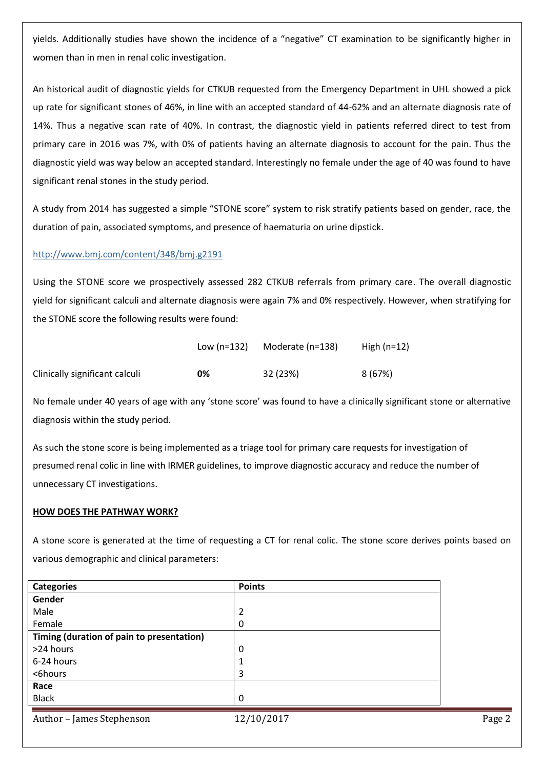yields. Additionally studies have shown the incidence of a "negative" CT examination to be significantly higher in women than in men in renal colic investigation.

An historical audit of diagnostic yields for CTKUB requested from the Emergency Department in UHL showed a pick up rate for significant stones of 46%, in line with an accepted standard of 44-62% and an alternate diagnosis rate of 14%. Thus a negative scan rate of 40%. In contrast, the diagnostic yield in patients referred direct to test from primary care in 2016 was 7%, with 0% of patients having an alternate diagnosis to account for the pain. Thus the diagnostic yield was way below an accepted standard. Interestingly no female under the age of 40 was found to have significant renal stones in the study period.

A study from 2014 has suggested a simple "STONE score" system to risk stratify patients based on gender, race, the duration of pain, associated symptoms, and presence of haematuria on urine dipstick.

### <http://www.bmj.com/content/348/bmj.g2191>

Using the STONE score we prospectively assessed 282 CTKUB referrals from primary care. The overall diagnostic yield for significant calculi and alternate diagnosis were again 7% and 0% respectively. However, when stratifying for the STONE score the following results were found:

|                                | Low $(n=132)$ | Moderate (n=138) | High $(n=12)$ |
|--------------------------------|---------------|------------------|---------------|
| Clinically significant calculi | 0%            | 32 (23%)         | 8 (67%)       |

No female under 40 years of age with any 'stone score' was found to have a clinically significant stone or alternative diagnosis within the study period.

As such the stone score is being implemented as a triage tool for primary care requests for investigation of presumed renal colic in line with IRMER guidelines, to improve diagnostic accuracy and reduce the number of unnecessary CT investigations.

#### **HOW DOES THE PATHWAY WORK?**

A stone score is generated at the time of requesting a CT for renal colic. The stone score derives points based on various demographic and clinical parameters:

| <b>Categories</b>                         | <b>Points</b> |  |
|-------------------------------------------|---------------|--|
| Gender                                    |               |  |
| Male                                      | 2             |  |
| Female                                    | 0             |  |
| Timing (duration of pain to presentation) |               |  |
| >24 hours                                 | 0             |  |
| 6-24 hours                                |               |  |
| <6hours                                   | 3             |  |
| Race                                      |               |  |
| <b>Black</b>                              | $\Omega$      |  |
|                                           |               |  |
| Author - James Stephenson                 | 12/10/2017    |  |